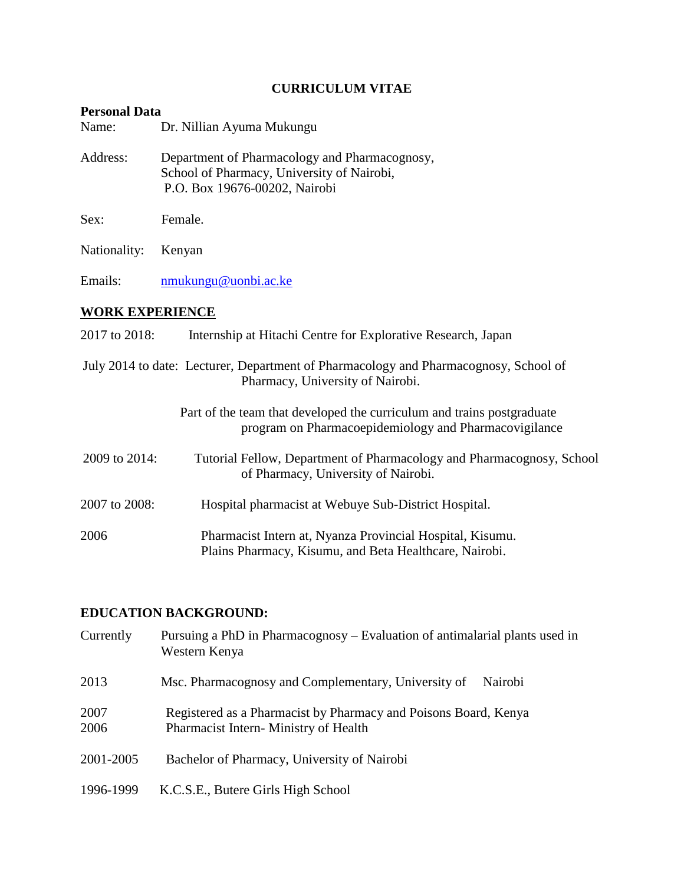# **CURRICULUM VITAE**

# **Personal Data**

| Personal Data                                                                                                            |                                                                                                                                 |  |
|--------------------------------------------------------------------------------------------------------------------------|---------------------------------------------------------------------------------------------------------------------------------|--|
| Name:                                                                                                                    | Dr. Nillian Ayuma Mukungu                                                                                                       |  |
| Address:                                                                                                                 | Department of Pharmacology and Pharmacognosy,<br>School of Pharmacy, University of Nairobi,<br>P.O. Box 19676-00202, Nairobi    |  |
| Sex:                                                                                                                     | Female.                                                                                                                         |  |
| Nationality:                                                                                                             | Kenyan                                                                                                                          |  |
| Emails:                                                                                                                  | nmukungu@uonbi.ac.ke                                                                                                            |  |
| <b>WORK EXPERIENCE</b>                                                                                                   |                                                                                                                                 |  |
| 2017 to 2018:                                                                                                            | Internship at Hitachi Centre for Explorative Research, Japan                                                                    |  |
| July 2014 to date: Lecturer, Department of Pharmacology and Pharmacognosy, School of<br>Pharmacy, University of Nairobi. |                                                                                                                                 |  |
|                                                                                                                          | Part of the team that developed the curriculum and trains postgraduate<br>program on Pharmacoepidemiology and Pharmacovigilance |  |
| 2009 to 2014:                                                                                                            | Tutorial Fellow, Department of Pharmacology and Pharmacognosy, School<br>of Pharmacy, University of Nairobi.                    |  |
| 2007 to 2008:                                                                                                            | Hospital pharmacist at Webuye Sub-District Hospital.                                                                            |  |
| 2006                                                                                                                     | Pharmacist Intern at, Nyanza Provincial Hospital, Kisumu.<br>Plains Pharmacy, Kisumu, and Beta Healthcare, Nairobi.             |  |

## **EDUCATION BACKGROUND:**

| Currently    | Pursuing a PhD in Pharmacognosy – Evaluation of antimalarial plants used in<br>Western Kenya            |
|--------------|---------------------------------------------------------------------------------------------------------|
| 2013         | Msc. Pharmacognosy and Complementary, University of<br>Nairobi                                          |
| 2007<br>2006 | Registered as a Pharmacist by Pharmacy and Poisons Board, Kenya<br>Pharmacist Intern-Ministry of Health |
| 2001-2005    | Bachelor of Pharmacy, University of Nairobi                                                             |
| 1996-1999    | K.C.S.E., Butere Girls High School                                                                      |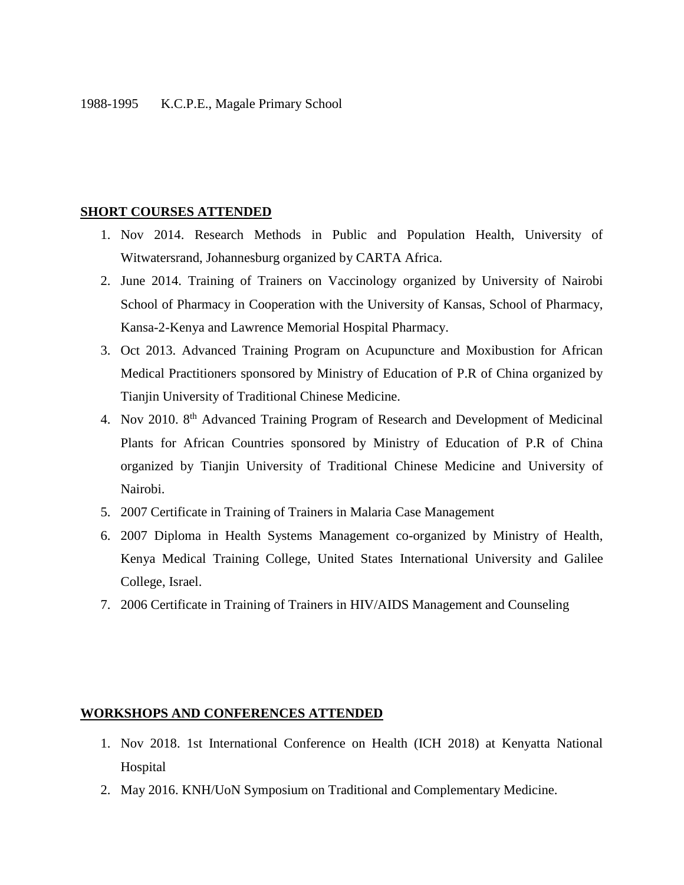#### **SHORT COURSES ATTENDED**

- 1. Nov 2014. Research Methods in Public and Population Health, University of Witwatersrand, Johannesburg organized by CARTA Africa.
- 2. June 2014. Training of Trainers on Vaccinology organized by University of Nairobi School of Pharmacy in Cooperation with the University of Kansas, School of Pharmacy, Kansa-2-Kenya and Lawrence Memorial Hospital Pharmacy.
- 3. Oct 2013. Advanced Training Program on Acupuncture and Moxibustion for African Medical Practitioners sponsored by Ministry of Education of P.R of China organized by Tianjin University of Traditional Chinese Medicine.
- 4. Nov 2010. 8<sup>th</sup> Advanced Training Program of Research and Development of Medicinal Plants for African Countries sponsored by Ministry of Education of P.R of China organized by Tianjin University of Traditional Chinese Medicine and University of Nairobi.
- 5. 2007 Certificate in Training of Trainers in Malaria Case Management
- 6. 2007 Diploma in Health Systems Management co-organized by Ministry of Health, Kenya Medical Training College, United States International University and Galilee College, Israel.
- 7. 2006 Certificate in Training of Trainers in HIV/AIDS Management and Counseling

#### **WORKSHOPS AND CONFERENCES ATTENDED**

- 1. Nov 2018. 1st International Conference on Health (ICH 2018) at Kenyatta National Hospital
- 2. May 2016. KNH/UoN Symposium on Traditional and Complementary Medicine.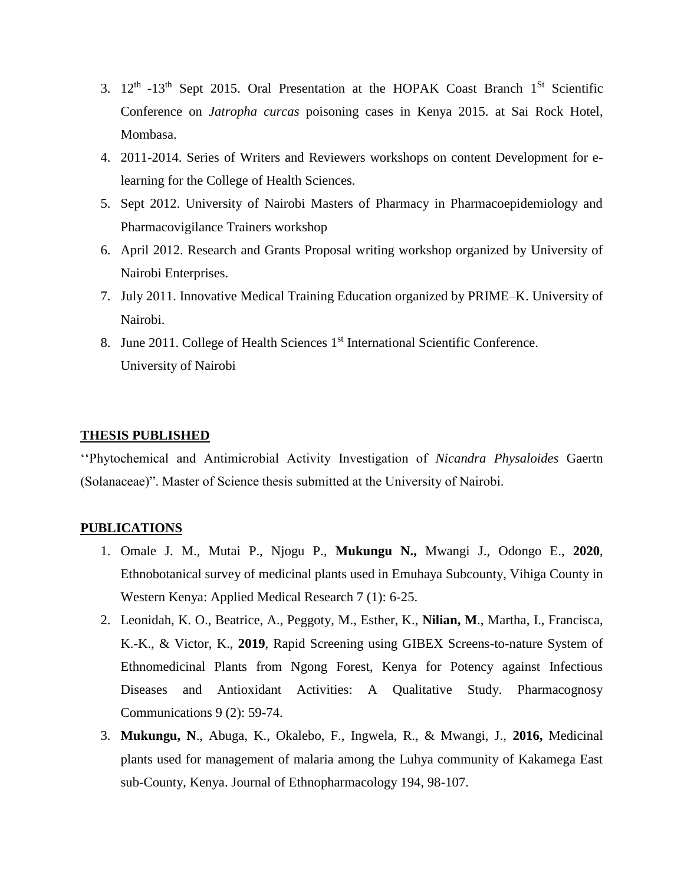- 3.  $12<sup>th</sup>$  -13<sup>th</sup> Sept 2015. Oral Presentation at the HOPAK Coast Branch  $1<sup>St</sup>$  Scientific Conference on *Jatropha curcas* poisoning cases in Kenya 2015. at Sai Rock Hotel, Mombasa.
- 4. 2011-2014. Series of Writers and Reviewers workshops on content Development for elearning for the College of Health Sciences.
- 5. Sept 2012. University of Nairobi Masters of Pharmacy in Pharmacoepidemiology and Pharmacovigilance Trainers workshop
- 6. April 2012. Research and Grants Proposal writing workshop organized by University of Nairobi Enterprises.
- 7. July 2011. Innovative Medical Training Education organized by PRIME–K. University of Nairobi.
- 8. June 2011. College of Health Sciences 1<sup>st</sup> International Scientific Conference. University of Nairobi

#### **THESIS PUBLISHED**

''Phytochemical and Antimicrobial Activity Investigation of *Nicandra Physaloides* Gaertn (Solanaceae)". Master of Science thesis submitted at the University of Nairobi.

#### **PUBLICATIONS**

- 1. Omale J. M., Mutai P., Njogu P., **Mukungu N.,** Mwangi J., Odongo E., **2020**, Ethnobotanical survey of medicinal plants used in Emuhaya Subcounty, Vihiga County in Western Kenya: Applied Medical Research 7 (1): 6-25.
- 2. Leonidah, K. O., Beatrice, A., Peggoty, M., Esther, K., **Nilian, M**., Martha, I., Francisca, K.-K., & Victor, K., **2019**, Rapid Screening using GIBEX Screens-to-nature System of Ethnomedicinal Plants from Ngong Forest, Kenya for Potency against Infectious Diseases and Antioxidant Activities: A Qualitative Study. Pharmacognosy Communications 9 (2): 59-74.
- 3. **Mukungu, N**., Abuga, K., Okalebo, F., Ingwela, R., & Mwangi, J., **2016,** Medicinal plants used for management of malaria among the Luhya community of Kakamega East sub-County, Kenya. Journal of Ethnopharmacology 194, 98-107.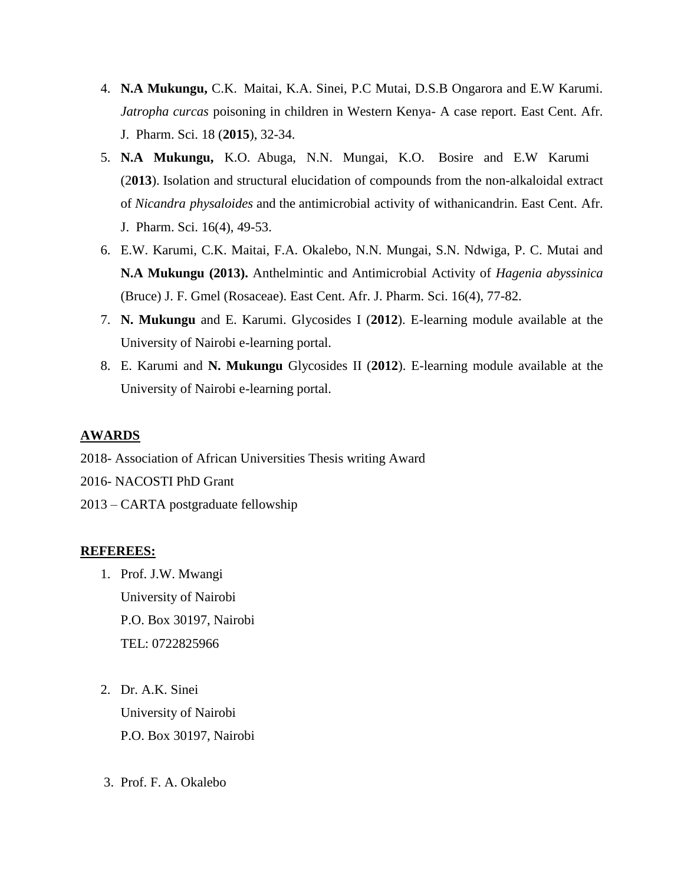- 4. **N.A Mukungu,** C.K. Maitai, K.A. Sinei, P.C Mutai, D.S.B Ongarora and E.W Karumi. *Jatropha curcas* poisoning in children in Western Kenya- A case report. East Cent. Afr. J. Pharm. Sci. 18 (**2015**), 32-34.
- 5. **N.A Mukungu,** K.O. Abuga, N.N. Mungai, K.O. Bosire and E.W Karumi (2**013**). Isolation and structural elucidation of compounds from the non-alkaloidal extract of *Nicandra physaloides* and the antimicrobial activity of withanicandrin. East Cent. Afr. J. Pharm. Sci. 16(4), 49-53.
- 6. E.W. Karumi, C.K. Maitai, F.A. Okalebo, N.N. Mungai, S.N. Ndwiga, P. C. Mutai and **N.A Mukungu (2013).** Anthelmintic and Antimicrobial Activity of *Hagenia abyssinica* (Bruce) J. F. Gmel (Rosaceae). East Cent. Afr. J. Pharm. Sci. 16(4), 77-82.
- 7. **N. Mukungu** and E. Karumi. Glycosides I (**2012**). E-learning module available at the University of Nairobi e-learning portal.
- 8. E. Karumi and **N. Mukungu** Glycosides II (**2012**). E-learning module available at the University of Nairobi e-learning portal.

## **AWARDS**

- 2018- Association of African Universities Thesis writing Award
- 2016- NACOSTI PhD Grant
- 2013 CARTA postgraduate fellowship

### **REFEREES:**

- 1. Prof. J.W. Mwangi University of Nairobi P.O. Box 30197, Nairobi TEL: 0722825966
- 2. Dr. A.K. Sinei University of Nairobi P.O. Box 30197, Nairobi
- 3. Prof. F. A. Okalebo